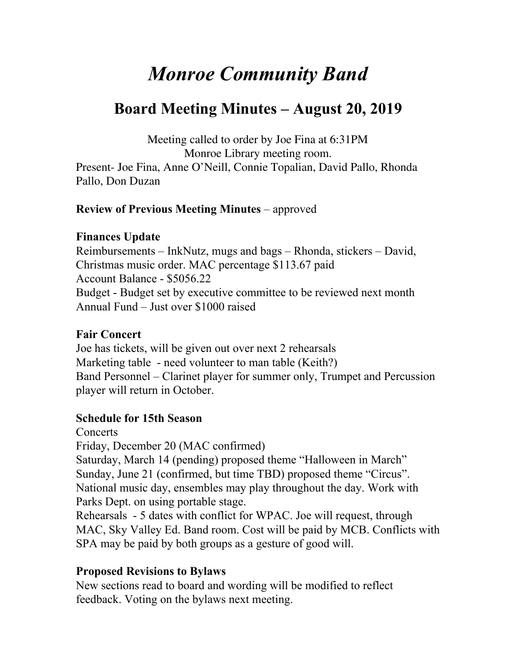# *Monroe Community Band*

# **Board Meeting Minutes – August 20, 2019**

Meeting called to order by Joe Fina at 6:31PM Monroe Library meeting room. Present- Joe Fina, Anne O'Neill, Connie Topalian, David Pallo, Rhonda Pallo, Don Duzan

## **Review of Previous Meeting Minutes** – approved

#### **Finances Update**

Reimbursements – InkNutz, mugs and bags – Rhonda, stickers – David, Christmas music order. MAC percentage \$113.67 paid Account Balance - \$5056.22 Budget - Budget set by executive committee to be reviewed next month Annual Fund – Just over \$1000 raised

#### **Fair Concert**

Joe has tickets, will be given out over next 2 rehearsals Marketing table - need volunteer to man table (Keith?) Band Personnel – Clarinet player for summer only, Trumpet and Percussion player will return in October.

# **Schedule for 15th Season**

**Concerts** 

Friday, December 20 (MAC confirmed)

Saturday, March 14 (pending) proposed theme "Halloween in March" Sunday, June 21 (confirmed, but time TBD) proposed theme "Circus". National music day, ensembles may play throughout the day. Work with Parks Dept. on using portable stage.

Rehearsals - 5 dates with conflict for WPAC. Joe will request, through MAC, Sky Valley Ed. Band room. Cost will be paid by MCB. Conflicts with SPA may be paid by both groups as a gesture of good will.

# **Proposed Revisions to Bylaws**

New sections read to board and wording will be modified to reflect feedback. Voting on the bylaws next meeting.